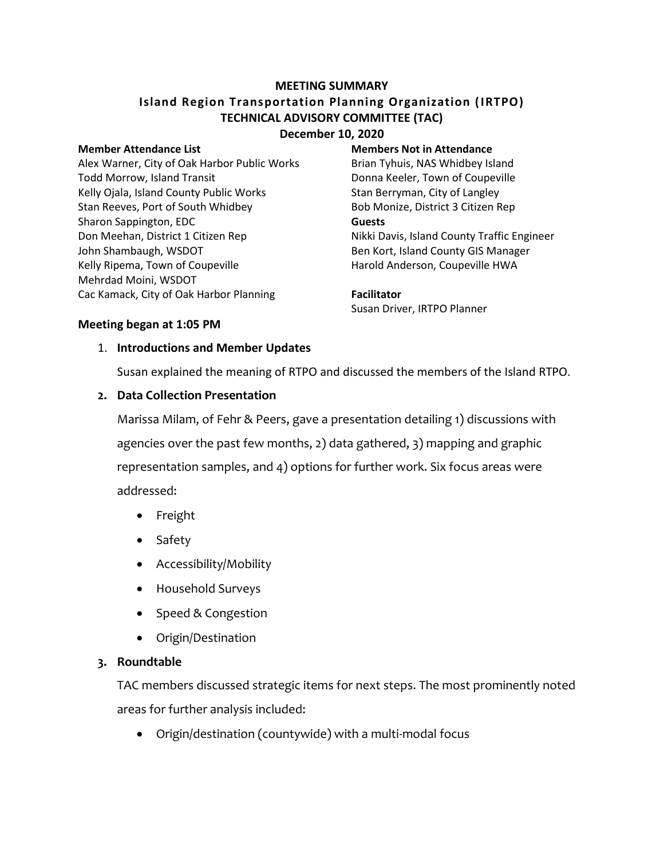#### **MEETING SUMMARY**

# **Island Region Transportation Planning Organization (IRTPO) TECHNICAL ADVISORY COMMITTEE (TAC) December 10, 2020**

Alex Warner, City of Oak Harbor Public Works Brian Tyhuis, NAS Whidbey Island Todd Morrow, Island Transit **Donna Keeler**, Town of Coupeville Kelly Ojala, Island County Public Works Stan Berryman, City of Langley Stan Reeves, Port of South Whidbey **Bob Monize, District 3 Citizen Rep** Sharon Sappington, EDC **Guests** Don Meehan, District 1 Citizen Rep Nikki Davis, Island County Traffic Engineer John Shambaugh, WSDOT **Ben Kort, Island County GIS Manager** Kelly Ripema, Town of Coupeville **Harold Anderson, Coupeville HWA** Mehrdad Moini, WSDOT Cac Kamack, City of Oak Harbor Planning **Facilitator**

#### **Member Attendance List Members Not in Attendance**

# Susan Driver, IRTPO Planner

#### **Meeting began at 1:05 PM**

#### 1. **Introductions and Member Updates**

Susan explained the meaning of RTPO and discussed the members of the Island RTPO.

### **2. Data Collection Presentation**

Marissa Milam, of Fehr & Peers, gave a presentation detailing 1) discussions with agencies over the past few months, 2) data gathered, 3) mapping and graphic representation samples, and 4) options for further work. Six focus areas were addressed:

- Freight
- Safety
- Accessibility/Mobility
- Household Surveys
- Speed & Congestion
- Origin/Destination

# **3. Roundtable**

TAC members discussed strategic items for next steps. The most prominently noted areas for further analysis included:

Origin/destination (countywide) with a multi-modal focus